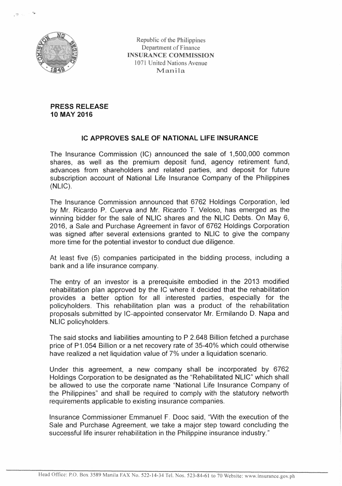

Republic of the Philippines Department of Finance **INSURANCE COMMISSION**  1071 United Nations Avenue **Manila** 

**PRESS RELEASE 10 MAY 2016** 

## **IC APPROVES SALE OF NATIONAL LIFE INSURANCE**

The Insurance Commission (IC) announced the sale of 1,500,000 common shares, as well as the premium deposit fund, agency retirement fund, advances from shareholders and related parties, and deposit for future subscription account of National Life Insurance Company of the Philippines (NLIC).

The Insurance Commission announced that 6762 Holdings Corporation, led by Mr. Ricardo P. Cuerva and Mr. Ricardo T. Veloso, has emerged as the winning bidder for the sale of NLIC shares and the NLIC Debts. On May 6, 2016, a Sale and Purchase Agreement in favor of 6762 Holdings Corporation was signed after several extensions granted to NLIC to give the company more time for the potential investor to conduct due diligence.

At least five (5) companies participated in the bidding process, including a bank and a life insurance company.

The entry of an investor is a prerequisite embodied in the 2013 modified rehabilitation plan approved by the IC where it decided that the rehabilitation provides a better option for all interested parties, especially for the policyholders. This rehabilitation plan was a product of the rehabilitation proposals submitted by IC-appointed conservator Mr. Ermilando D. Napa and NLIC policyholders.

The said stocks and liabilities amounting to P 2.648 Billion fetched a purchase price of P1.054 Billion or a net recovery rate of 35-40% which could otherwise have realized a net liquidation value of 7% under a liquidation scenario.

Under this agreement, a new company shall be incorporated by 6762 Holdings Corporation to be designated as the "Rehabilitated NLIC" which shall be allowed to use the corporate name "National Life Insurance Company of the Philippines" and shall be required to comply with the statutory networth requirements applicable to existing insurance companies.

Insurance Commissioner Emmanuel F. Dooc said, "With the execution of the Sale and Purchase Agreement, we take a major step toward concluding the successful life insurer rehabilitation in the Philippine insurance industry."